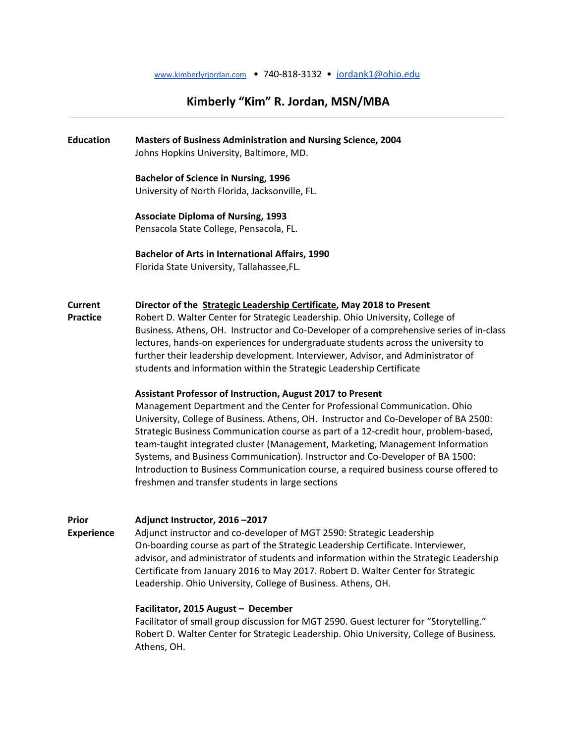# Kimberly "Kim" R. Jordan, MSN/MBA

## Education Masters of Business Administration and Nursing Science, 2004 Johns Hopkins University, Baltimore, MD.

Bachelor of Science in Nursing, 1996

University of North Florida, Jacksonville, FL.

Associate Diploma of Nursing, 1993 Pensacola State College, Pensacola, FL.

Bachelor of Arts in International Affairs, 1990 Florida State University, Tallahassee,FL.

#### Current Director of the **Strategic Leadership Certificate**, May 2018 to Present

Practice **Robert D. Walter Center for Strategic Leadership. Ohio University, College of** Business. Athens, OH. Instructor and Co-Developer of a comprehensive series of in-class lectures, hands-on experiences for undergraduate students across the university to further their leadership development. Interviewer, Advisor, and Administrator of students and information within the Strategic Leadership Certificate

#### Assistant Professor of Instruction, August 2017 to Present

Management Department and the Center for Professional Communication. Ohio University, College of Business. Athens, OH. Instructor and Co-Developer of BA 2500: Strategic Business Communication course as part of a 12-credit hour, problem-based, team-taught integrated cluster (Management, Marketing, Management Information Systems, and Business Communication). Instructor and Co-Developer of BA 1500: Introduction to Business Communication course, a required business course offered to freshmen and transfer students in large sections

# Prior Adjunct Instructor, 2016 –2017 Experience Adjunct instructor and co-developer of MGT 2590: Strategic Leadership On-boarding course as part of the Strategic Leadership Certificate. Interviewer, advisor, and administrator of students and information within the Strategic Leadership Certificate from January 2016 to May 2017. Robert D. Walter Center for Strategic Leadership. Ohio University, College of Business. Athens, OH. Facilitator, 2015 August – December

Facilitator of small group discussion for MGT 2590. Guest lecturer for "Storytelling." Robert D. Walter Center for Strategic Leadership. Ohio University, College of Business. Athens, OH.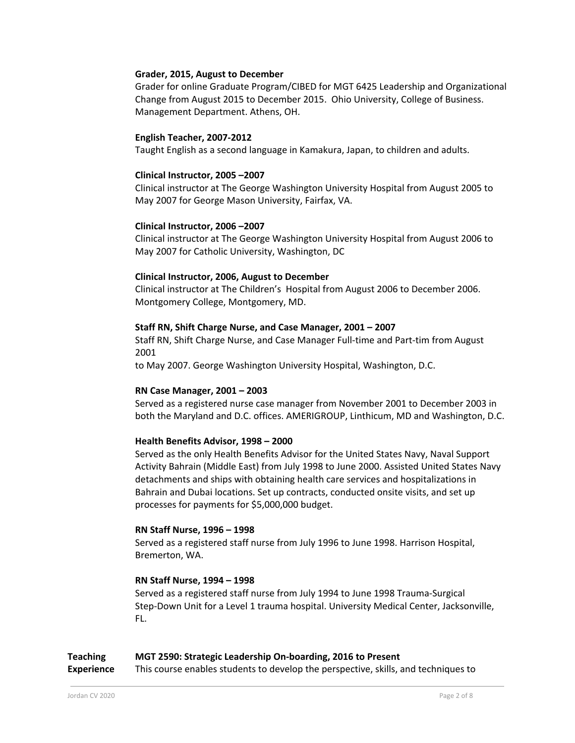# Grader, 2015, August to December

Grader for online Graduate Program/CIBED for MGT 6425 Leadership and Organizational Change from August 2015 to December 2015. Ohio University, College of Business. Management Department. Athens, OH.

# English Teacher, 2007-2012

Taught English as a second language in Kamakura, Japan, to children and adults.

# Clinical Instructor, 2005 –2007

Clinical instructor at The George Washington University Hospital from August 2005 to May 2007 for George Mason University, Fairfax, VA.

# Clinical Instructor, 2006 –2007

Clinical instructor at The George Washington University Hospital from August 2006 to May 2007 for Catholic University, Washington, DC

# Clinical Instructor, 2006, August to December

Clinical instructor at The Children's Hospital from August 2006 to December 2006. Montgomery College, Montgomery, MD.

# Staff RN, Shift Charge Nurse, and Case Manager, 2001 – 2007

Staff RN, Shift Charge Nurse, and Case Manager Full-time and Part-tim from August 2001

to May 2007. George Washington University Hospital, Washington, D.C.

## RN Case Manager, 2001 – 2003

Served as a registered nurse case manager from November 2001 to December 2003 in both the Maryland and D.C. offices. AMERIGROUP, Linthicum, MD and Washington, D.C.

# Health Benefits Advisor, 1998 – 2000

Served as the only Health Benefits Advisor for the United States Navy, Naval Support Activity Bahrain (Middle East) from July 1998 to June 2000. Assisted United States Navy detachments and ships with obtaining health care services and hospitalizations in Bahrain and Dubai locations. Set up contracts, conducted onsite visits, and set up processes for payments for \$5,000,000 budget.

## RN Staff Nurse, 1996 – 1998

Served as a registered staff nurse from July 1996 to June 1998. Harrison Hospital, Bremerton, WA.

# RN Staff Nurse, 1994 – 1998

Served as a registered staff nurse from July 1994 to June 1998 Trauma-Surgical Step-Down Unit for a Level 1 trauma hospital. University Medical Center, Jacksonville, FL.

# Teaching MGT 2590: Strategic Leadership On-boarding, 2016 to Present

**Experience** This course enables students to develop the perspective, skills, and techniques to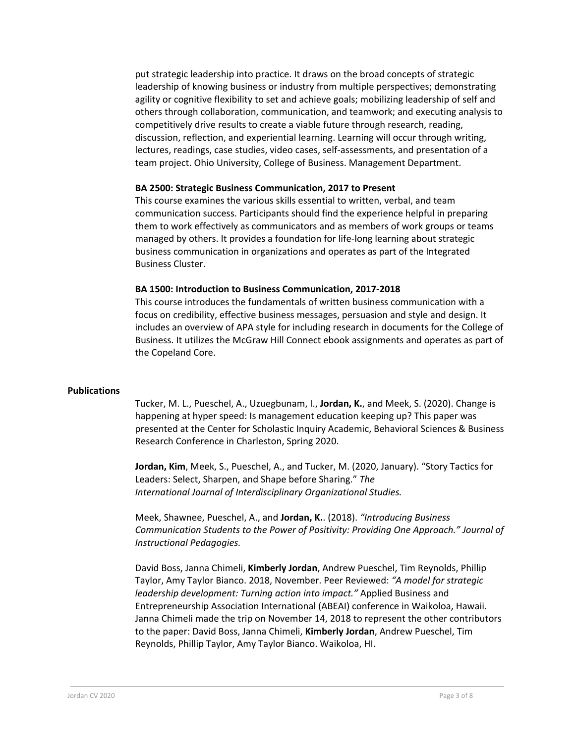put strategic leadership into practice. It draws on the broad concepts of strategic leadership of knowing business or industry from multiple perspectives; demonstrating agility or cognitive flexibility to set and achieve goals; mobilizing leadership of self and others through collaboration, communication, and teamwork; and executing analysis to competitively drive results to create a viable future through research, reading, discussion, reflection, and experiential learning. Learning will occur through writing, lectures, readings, case studies, video cases, self-assessments, and presentation of a team project. Ohio University, College of Business. Management Department.

# BA 2500: Strategic Business Communication, 2017 to Present

This course examines the various skills essential to written, verbal, and team communication success. Participants should find the experience helpful in preparing them to work effectively as communicators and as members of work groups or teams managed by others. It provides a foundation for life-long learning about strategic business communication in organizations and operates as part of the Integrated Business Cluster.

## BA 1500: Introduction to Business Communication, 2017-2018

This course introduces the fundamentals of written business communication with a focus on credibility, effective business messages, persuasion and style and design. It includes an overview of APA style for including research in documents for the College of Business. It utilizes the McGraw Hill Connect ebook assignments and operates as part of the Copeland Core.

## Publications

Tucker, M. L., Pueschel, A., Uzuegbunam, I., Jordan, K., and Meek, S. (2020). Change is happening at hyper speed: Is management education keeping up? This paper was presented at the Center for Scholastic Inquiry Academic, Behavioral Sciences & Business Research Conference in Charleston, Spring 2020.

Jordan, Kim, Meek, S., Pueschel, A., and Tucker, M. (2020, January). "Story Tactics for Leaders: Select, Sharpen, and Shape before Sharing." The International Journal of Interdisciplinary Organizational Studies.

Meek, Shawnee, Pueschel, A., and Jordan, K.. (2018). "Introducing Business Communication Students to the Power of Positivity: Providing One Approach." Journal of Instructional Pedagogies.

David Boss, Janna Chimeli, Kimberly Jordan, Andrew Pueschel, Tim Reynolds, Phillip Taylor, Amy Taylor Bianco. 2018, November. Peer Reviewed: "A model for strategic leadership development: Turning action into impact." Applied Business and Entrepreneurship Association International (ABEAI) conference in Waikoloa, Hawaii. Janna Chimeli made the trip on November 14, 2018 to represent the other contributors to the paper: David Boss, Janna Chimeli, Kimberly Jordan, Andrew Pueschel, Tim Reynolds, Phillip Taylor, Amy Taylor Bianco. Waikoloa, HI.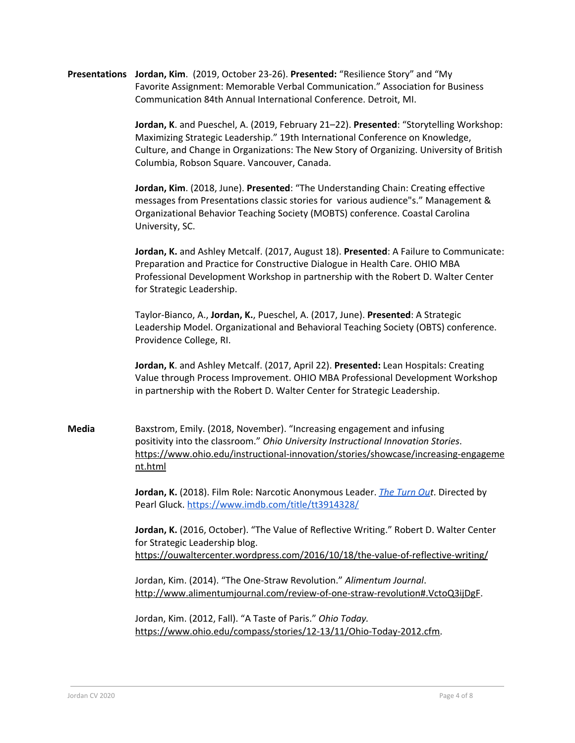Presentations Jordan, Kim. (2019, October 23-26). Presented: "Resilience Story" and "My Favorite Assignment: Memorable Verbal Communication." Association for Business Communication 84th Annual International Conference. Detroit, MI.

> Jordan, K. and Pueschel, A. (2019, February 21–22). Presented: "Storytelling Workshop: Maximizing Strategic Leadership." 19th International Conference on Knowledge, Culture, and Change in Organizations: The New Story of Organizing. University of British Columbia, Robson Square. Vancouver, Canada.

Jordan, Kim. (2018, June). Presented: "The Understanding Chain: Creating effective messages from Presentations classic stories for various audience"s." Management & Organizational Behavior Teaching Society (MOBTS) conference. Coastal Carolina University, SC.

Jordan, K. and Ashley Metcalf. (2017, August 18). Presented: A Failure to Communicate: Preparation and Practice for Constructive Dialogue in Health Care. OHIO MBA Professional Development Workshop in partnership with the Robert D. Walter Center for Strategic Leadership.

Taylor-Bianco, A., Jordan, K., Pueschel, A. (2017, June). Presented: A Strategic Leadership Model. Organizational and Behavioral Teaching Society (OBTS) conference. Providence College, RI.

Jordan, K. and Ashley Metcalf. (2017, April 22). Presented: Lean Hospitals: Creating Value through Process Improvement. OHIO MBA Professional Development Workshop in partnership with the Robert D. Walter Center for Strategic Leadership.

Media Baxstrom, Emily. (2018, November). "Increasing engagement and infusing positivity into the classroom." Ohio University Instructional Innovation Stories. https://www.ohio.edu/instructional-innovation/stories/showcase/increasing-engageme nt.html

> Jordan, K. (2018). Film Role: Narcotic Anonymous Leader. The Turn Out. Directed by Pearl Gluck. https://www.imdb.com/title/tt3914328/

Jordan, K. (2016, October). "The Value of Reflective Writing." Robert D. Walter Center for Strategic Leadership blog. https://ouwaltercenter.wordpress.com/2016/10/18/the-value-of-reflective-writing/

Jordan, Kim. (2014). "The One-Straw Revolution." Alimentum Journal. http://www.alimentumjournal.com/review-of-one-straw-revolution#.VctoQ3ijDgF.

Jordan, Kim. (2012, Fall). "A Taste of Paris." Ohio Today. https://www.ohio.edu/compass/stories/12-13/11/Ohio-Today-2012.cfm.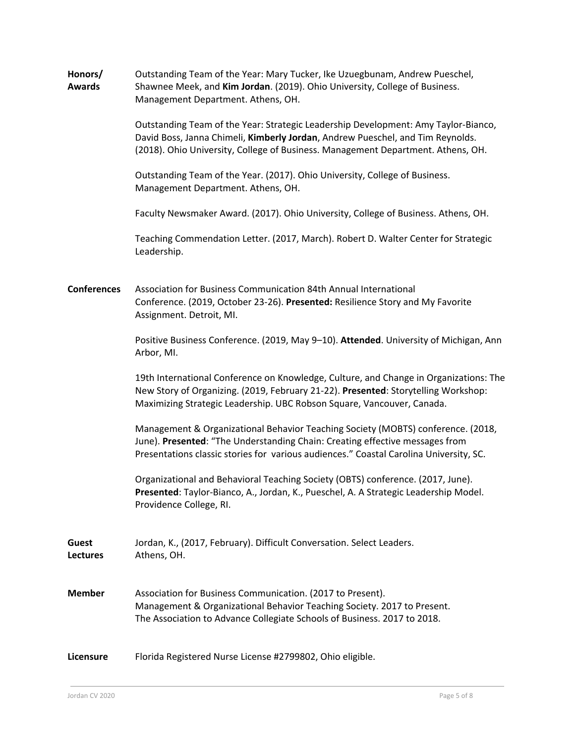| Honors/       | Outstanding Team of the Year: Mary Tucker, Ike Uzuegbunam, Andrew Pueschel, |
|---------------|-----------------------------------------------------------------------------|
| <b>Awards</b> | Shawnee Meek, and Kim Jordan. (2019). Ohio University, College of Business. |
|               | Management Department, Athens, OH.                                          |

Outstanding Team of the Year: Strategic Leadership Development: Amy Taylor-Bianco, David Boss, Janna Chimeli, Kimberly Jordan, Andrew Pueschel, and Tim Reynolds. (2018). Ohio University, College of Business. Management Department. Athens, OH.

Outstanding Team of the Year. (2017). Ohio University, College of Business. Management Department. Athens, OH.

Faculty Newsmaker Award. (2017). Ohio University, College of Business. Athens, OH.

Teaching Commendation Letter. (2017, March). Robert D. Walter Center for Strategic Leadership.

Conferences Association for Business Communication 84th Annual International Conference. (2019, October 23-26). Presented: Resilience Story and My Favorite Assignment. Detroit, MI.

> Positive Business Conference. (2019, May 9-10). Attended. University of Michigan, Ann Arbor, MI.

> 19th International Conference on Knowledge, Culture, and Change in Organizations: The New Story of Organizing. (2019, February 21-22). Presented: Storytelling Workshop: Maximizing Strategic Leadership. UBC Robson Square, Vancouver, Canada.

Management & Organizational Behavior Teaching Society (MOBTS) conference. (2018, June). Presented: "The Understanding Chain: Creating effective messages from Presentations classic stories for various audiences." Coastal Carolina University, SC.

Organizational and Behavioral Teaching Society (OBTS) conference. (2017, June). Presented: Taylor-Bianco, A., Jordan, K., Pueschel, A. A Strategic Leadership Model. Providence College, RI.

Guest Jordan, K., (2017, February). Difficult Conversation. Select Leaders. Lectures Athens, OH.

Member Association for Business Communication. (2017 to Present). Management & Organizational Behavior Teaching Society. 2017 to Present. The Association to Advance Collegiate Schools of Business. 2017 to 2018.

Licensure Florida Registered Nurse License #2799802, Ohio eligible.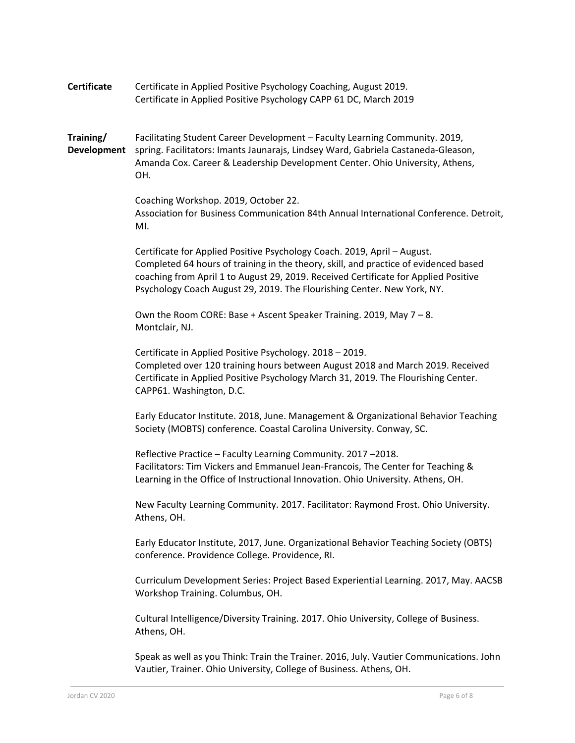Certificate Certificate in Applied Positive Psychology Coaching, August 2019. Certificate in Applied Positive Psychology CAPP 61 DC, March 2019

Training/ Facilitating Student Career Development – Faculty Learning Community. 2019, Development spring. Facilitators: Imants Jaunarajs, Lindsey Ward, Gabriela Castaneda-Gleason, Amanda Cox. Career & Leadership Development Center. Ohio University, Athens, OH.

> Coaching Workshop. 2019, October 22. Association for Business Communication 84th Annual International Conference. Detroit, MI.

Certificate for Applied Positive Psychology Coach. 2019, April – August. Completed 64 hours of training in the theory, skill, and practice of evidenced based coaching from April 1 to August 29, 2019. Received Certificate for Applied Positive Psychology Coach August 29, 2019. The Flourishing Center. New York, NY.

Own the Room CORE: Base + Ascent Speaker Training. 2019, May 7 – 8. Montclair, NJ.

Certificate in Applied Positive Psychology. 2018 – 2019. Completed over 120 training hours between August 2018 and March 2019. Received Certificate in Applied Positive Psychology March 31, 2019. The Flourishing Center. CAPP61. Washington, D.C.

Early Educator Institute. 2018, June. Management & Organizational Behavior Teaching Society (MOBTS) conference. Coastal Carolina University. Conway, SC.

Reflective Practice – Faculty Learning Community. 2017 –2018. Facilitators: Tim Vickers and Emmanuel Jean-Francois, The Center for Teaching & Learning in the Office of Instructional Innovation. Ohio University. Athens, OH.

New Faculty Learning Community. 2017. Facilitator: Raymond Frost. Ohio University. Athens, OH.

Early Educator Institute, 2017, June. Organizational Behavior Teaching Society (OBTS) conference. Providence College. Providence, RI.

Curriculum Development Series: Project Based Experiential Learning. 2017, May. AACSB Workshop Training. Columbus, OH.

Cultural Intelligence/Diversity Training. 2017. Ohio University, College of Business. Athens, OH.

Speak as well as you Think: Train the Trainer. 2016, July. Vautier Communications. John Vautier, Trainer. Ohio University, College of Business. Athens, OH.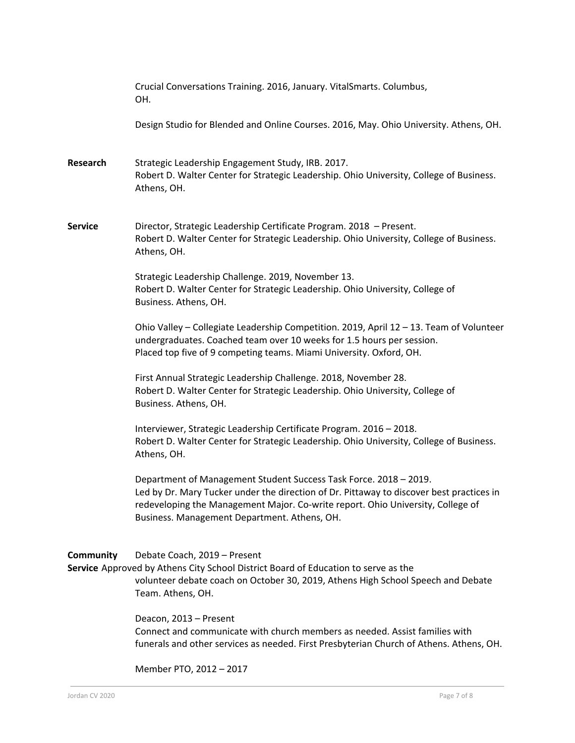|                  | Crucial Conversations Training. 2016, January. VitalSmarts. Columbus,<br>OH.                                                                                                                                                                                                                     |
|------------------|--------------------------------------------------------------------------------------------------------------------------------------------------------------------------------------------------------------------------------------------------------------------------------------------------|
|                  | Design Studio for Blended and Online Courses. 2016, May. Ohio University. Athens, OH.                                                                                                                                                                                                            |
| <b>Research</b>  | Strategic Leadership Engagement Study, IRB. 2017.<br>Robert D. Walter Center for Strategic Leadership. Ohio University, College of Business.<br>Athens, OH.                                                                                                                                      |
| <b>Service</b>   | Director, Strategic Leadership Certificate Program. 2018 - Present.<br>Robert D. Walter Center for Strategic Leadership. Ohio University, College of Business.<br>Athens, OH.                                                                                                                    |
|                  | Strategic Leadership Challenge. 2019, November 13.<br>Robert D. Walter Center for Strategic Leadership. Ohio University, College of<br>Business. Athens, OH.                                                                                                                                     |
|                  | Ohio Valley - Collegiate Leadership Competition. 2019, April 12 - 13. Team of Volunteer<br>undergraduates. Coached team over 10 weeks for 1.5 hours per session.<br>Placed top five of 9 competing teams. Miami University. Oxford, OH.                                                          |
|                  | First Annual Strategic Leadership Challenge. 2018, November 28.<br>Robert D. Walter Center for Strategic Leadership. Ohio University, College of<br>Business. Athens, OH.                                                                                                                        |
|                  | Interviewer, Strategic Leadership Certificate Program. 2016 - 2018.<br>Robert D. Walter Center for Strategic Leadership. Ohio University, College of Business.<br>Athens, OH.                                                                                                                    |
|                  | Department of Management Student Success Task Force. 2018 - 2019.<br>Led by Dr. Mary Tucker under the direction of Dr. Pittaway to discover best practices in<br>redeveloping the Management Major. Co-write report. Ohio University, College of<br>Business. Management Department. Athens, OH. |
| <b>Community</b> | Debate Coach, 2019 - Present<br>Service Approved by Athens City School District Board of Education to serve as the<br>volunteer debate coach on October 30, 2019, Athens High School Speech and Debate<br>Team. Athens, OH.                                                                      |
|                  | Deacon, 2013 - Present<br>Connect and communicate with church members as needed. Assist families with<br>funerals and other services as needed. First Presbyterian Church of Athens. Athens, OH.                                                                                                 |
|                  | Member PTO, 2012 - 2017                                                                                                                                                                                                                                                                          |